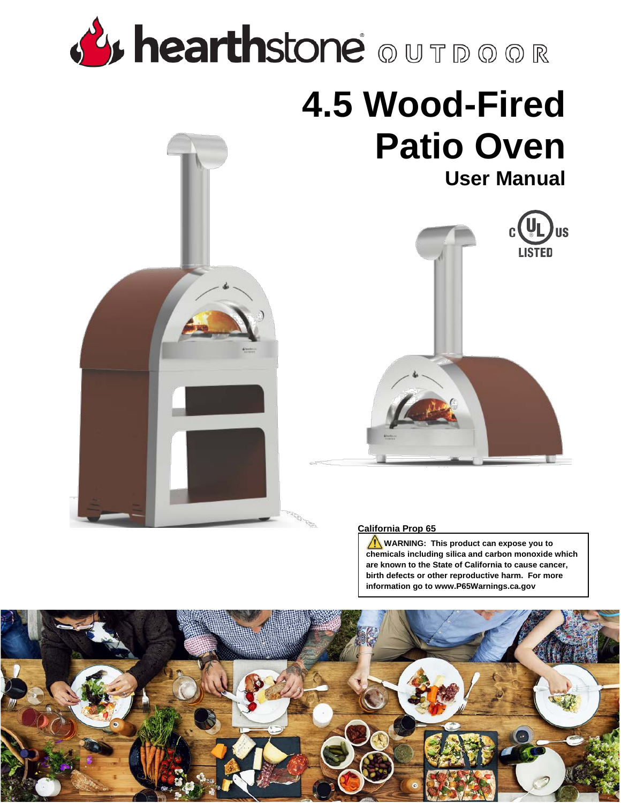# **By hearthstone** OUTDOOR

## **4.5 Wood-Fired Patio Oven**





#### **California Prop 65**

**WARNING:** This product can expose you to **chemicals including silica and carbon monoxide which are known to the State of California to cause cancer, birth defects or other reproductive harm. For more information go to www.P65Warnings.ca.gov**

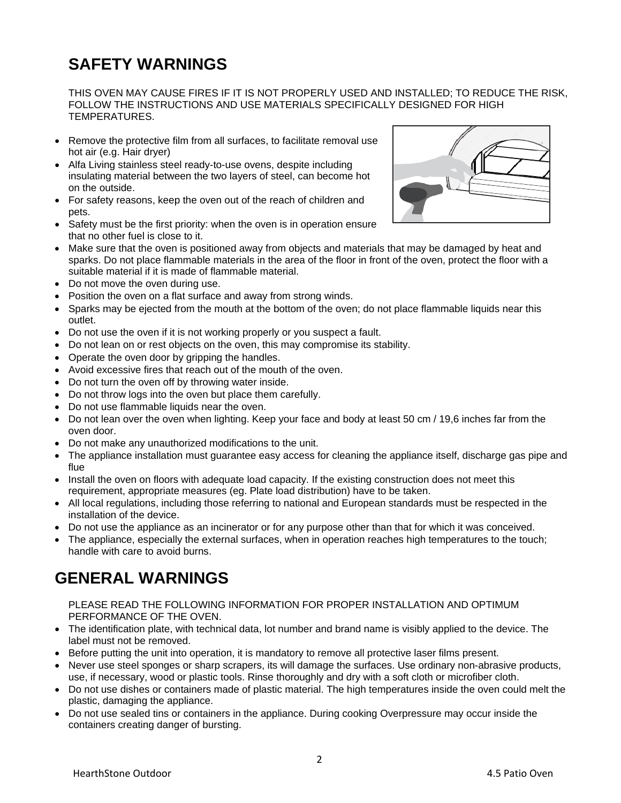## **SAFETY WARNINGS**

THIS OVEN MAY CAUSE FIRES IF IT IS NOT PROPERLY USED AND INSTALLED; TO REDUCE THE RISK, FOLLOW THE INSTRUCTIONS AND USE MATERIALS SPECIFICALLY DESIGNED FOR HIGH TEMPERATURES.

- Remove the protective film from all surfaces, to facilitate removal use hot air (e.g. Hair dryer)
- Alfa Living stainless steel ready-to-use ovens, despite including insulating material between the two layers of steel, can become hot on the outside.
- For safety reasons, keep the oven out of the reach of children and pets.
- Safety must be the first priority: when the oven is in operation ensure that no other fuel is close to it.
- Make sure that the oven is positioned away from objects and materials that may be damaged by heat and sparks. Do not place flammable materials in the area of the floor in front of the oven, protect the floor with a suitable material if it is made of flammable material.
- Do not move the oven during use.
- Position the oven on a flat surface and away from strong winds.
- Sparks may be ejected from the mouth at the bottom of the oven; do not place flammable liquids near this outlet.
- Do not use the oven if it is not working properly or you suspect a fault.
- Do not lean on or rest objects on the oven, this may compromise its stability.
- Operate the oven door by gripping the handles.
- Avoid excessive fires that reach out of the mouth of the oven.
- Do not turn the oven off by throwing water inside.
- Do not throw logs into the oven but place them carefully.
- Do not use flammable liquids near the oven.
- Do not lean over the oven when lighting. Keep your face and body at least 50 cm / 19,6 inches far from the oven door.
- Do not make any unauthorized modifications to the unit.
- The appliance installation must guarantee easy access for cleaning the appliance itself, discharge gas pipe and flue
- Install the oven on floors with adequate load capacity. If the existing construction does not meet this requirement, appropriate measures (eg. Plate load distribution) have to be taken.
- All local regulations, including those referring to national and European standards must be respected in the installation of the device.
- Do not use the appliance as an incinerator or for any purpose other than that for which it was conceived.
- The appliance, especially the external surfaces, when in operation reaches high temperatures to the touch; handle with care to avoid burns.

### **GENERAL WARNINGS**

#### PLEASE READ THE FOLLOWING INFORMATION FOR PROPER INSTALLATION AND OPTIMUM PERFORMANCE OF THE OVEN.

- The identification plate, with technical data, lot number and brand name is visibly applied to the device. The label must not be removed.
- Before putting the unit into operation, it is mandatory to remove all protective laser films present.
- Never use steel sponges or sharp scrapers, its will damage the surfaces. Use ordinary non-abrasive products, use, if necessary, wood or plastic tools. Rinse thoroughly and dry with a soft cloth or microfiber cloth.
- Do not use dishes or containers made of plastic material. The high temperatures inside the oven could melt the plastic, damaging the appliance.
- Do not use sealed tins or containers in the appliance. During cooking Overpressure may occur inside the containers creating danger of bursting.

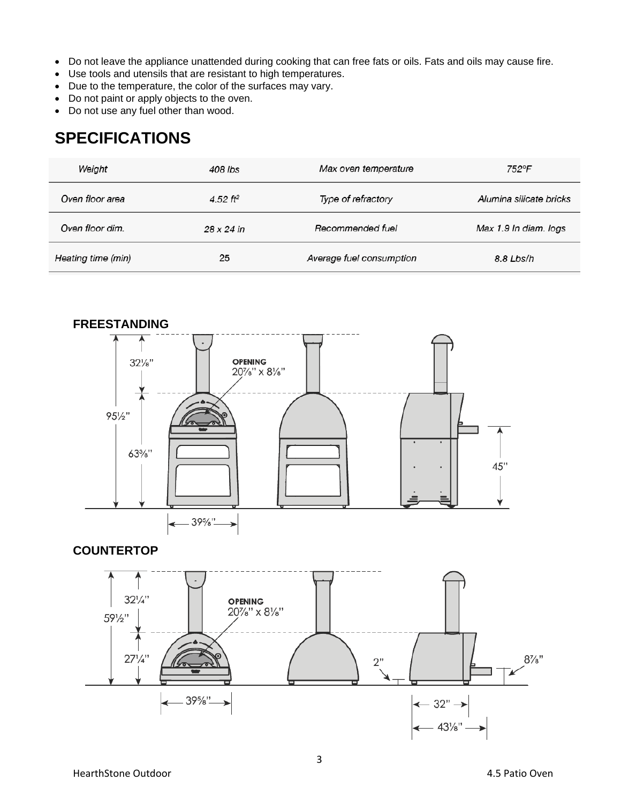- Do not leave the appliance unattended during cooking that can free fats or oils. Fats and oils may cause fire.
- Use tools and utensils that are resistant to high temperatures.
- Due to the temperature, the color of the surfaces may vary.
- Do not paint or apply objects to the oven.
- Do not use any fuel other than wood.

## **SPECIFICATIONS**

| Weight             | 408 lbs           | Max oven temperature     | 752°F                   |
|--------------------|-------------------|--------------------------|-------------------------|
| Oven floor area    | 4.52 $ft^2$       | Type of refractory       | Alumina silicate bricks |
| Oven floor dim.    | $28 \times 24$ in | Recommended fuel         | Max 1.9 In diam. logs   |
| Heating time (min) | 25                | Average fuel consumption | 8.8 Lbs/h               |



#### **COUNTERTOP**

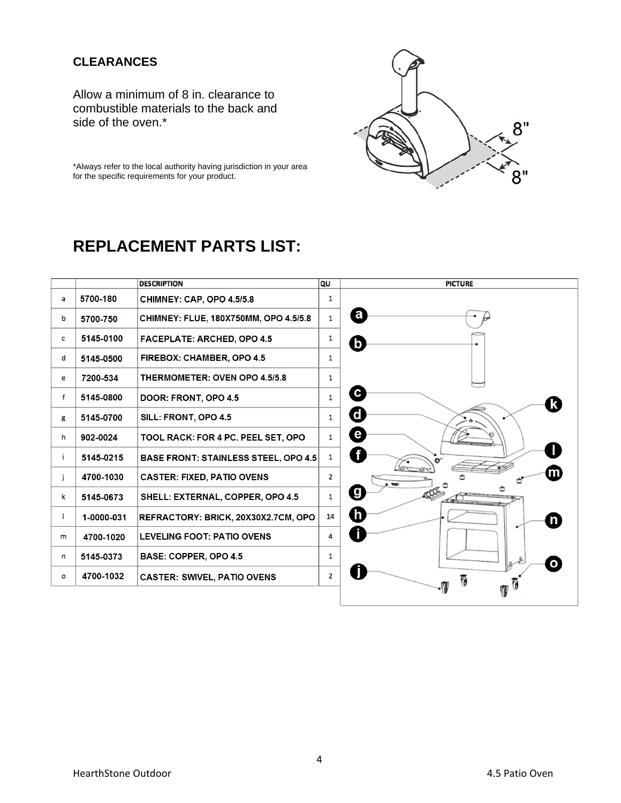#### **CLEARANCES**

Allow a minimum of 8 in. clearance to combustible materials to the back and side of the oven.\*



\*Always refer to the local authority having jurisdiction in your area for the specific requirements for your product.

## **REPLACEMENT PARTS LIST:**

|    | <b>DESCRIPTION</b> |                                              | QU           | <b>PICTURE</b>    |
|----|--------------------|----------------------------------------------|--------------|-------------------|
| a  | 5700-180           | CHIMNEY: CAP, OPO 4.5/5.8                    | 1            |                   |
| b  | 5700-750           | <b>CHIMNEY: FLUE, 180X750MM, OPO 4.5/5.8</b> | 1            | $\mathbf{a}$      |
| C  | 5145-0100          | <b>FACEPLATE: ARCHED, OPO 4.5</b>            | 1            | $\mathbf{b}$      |
| d  | 5145-0500          | <b>FIREBOX: CHAMBER, OPO 4.5</b>             | 1            |                   |
| е  | 7200-534           | <b>THERMOMETER: OVEN OPO 4.5/5.8</b>         | $\mathbf{1}$ |                   |
| f  | 5145-0800          | DOOR: FRONT, OPO 4.5                         | 1            | $\mathbf{c}$      |
| g  | 5145-0700          | SILL: FRONT, OPO 4.5                         | 1            | $\mathbf d$       |
| h  | 902-0024           | TOOL RACK: FOR 4 PC. PEEL SET, OPO           | $\mathbf{1}$ | $\mathbf{e}$      |
| i. | 5145-0215          | <b>BASE FRONT: STAINLESS STEEL, OPO 4.5</b>  | 1            | $\mathbf{f}$      |
| İ  | 4700-1030          | <b>CASTER: FIXED, PATIO OVENS</b>            | $\mathbf{2}$ | 俪                 |
| k  | 5145-0673          | SHELL: EXTERNAL, COPPER, OPO 4.5             | 1            | $\boldsymbol{g}$  |
| ı. | 1-0000-031         | REFRACTORY: BRICK, 20X30X2.7CM, OPO          | 14           | $\mathsf{h}$<br>n |
| m  | 4700-1020          | <b>LEVELING FOOT: PATIO OVENS</b>            | 4            |                   |
| n  | 5145-0373          | <b>BASE: COPPER, OPO 4.5</b>                 | 1            | $\mathbf{o}$      |
| O  | 4700-1032          | <b>CASTER: SWIVEL, PATIO OVENS</b>           | 2            |                   |
|    |                    |                                              |              |                   |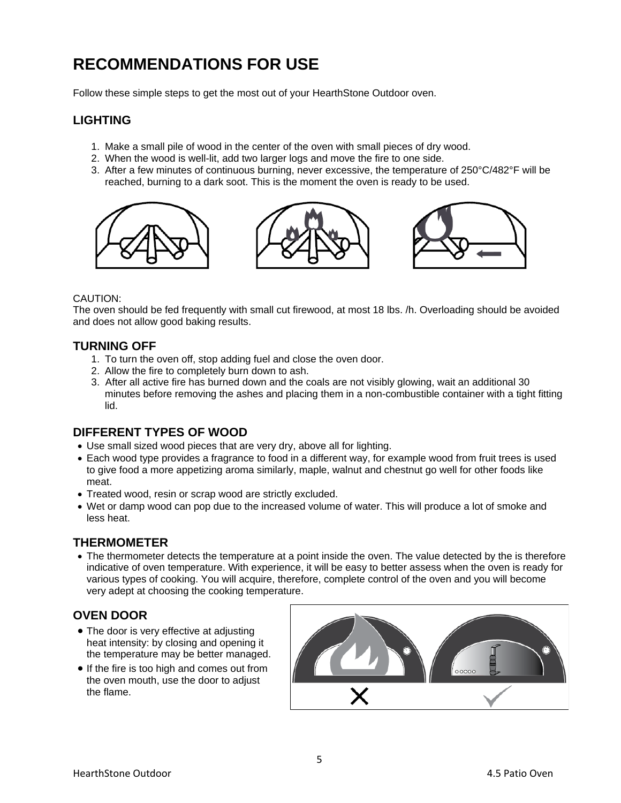## **RECOMMENDATIONS FOR USE**

Follow these simple steps to get the most out of your HearthStone Outdoor oven.

#### **LIGHTING**

- 1. Make a small pile of wood in the center of the oven with small pieces of dry wood.
- 2. When the wood is well-lit, add two larger logs and move the fire to one side.
- 3. After a few minutes of continuous burning, never excessive, the temperature of 250°C/482°F will be reached, burning to a dark soot. This is the moment the oven is ready to be used.



#### CAUTION:

The oven should be fed frequently with small cut firewood, at most 18 lbs. /h. Overloading should be avoided and does not allow good baking results.

#### **TURNING OFF**

- 1. To turn the oven off, stop adding fuel and close the oven door.
- 2. Allow the fire to completely burn down to ash.
- 3. After all active fire has burned down and the coals are not visibly glowing, wait an additional 30 minutes before removing the ashes and placing them in a non-combustible container with a tight fitting lid.

#### **DIFFERENT TYPES OF WOOD**

- Use small sized wood pieces that are very dry, above all for lighting.
- Each wood type provides a fragrance to food in a different way, for example wood from fruit trees is used to give food a more appetizing aroma similarly, maple, walnut and chestnut go well for other foods like meat.
- Treated wood, resin or scrap wood are strictly excluded.
- Wet or damp wood can pop due to the increased volume of water. This will produce a lot of smoke and less heat.

#### **THERMOMETER**

• The thermometer detects the temperature at a point inside the oven. The value detected by the is therefore indicative of oven temperature. With experience, it will be easy to better assess when the oven is ready for various types of cooking. You will acquire, therefore, complete control of the oven and you will become very adept at choosing the cooking temperature.

#### **OVEN DOOR**

- The door is very effective at adjusting heat intensity: by closing and opening it the temperature may be better managed.
- If the fire is too high and comes out from the oven mouth, use the door to adjust the flame.

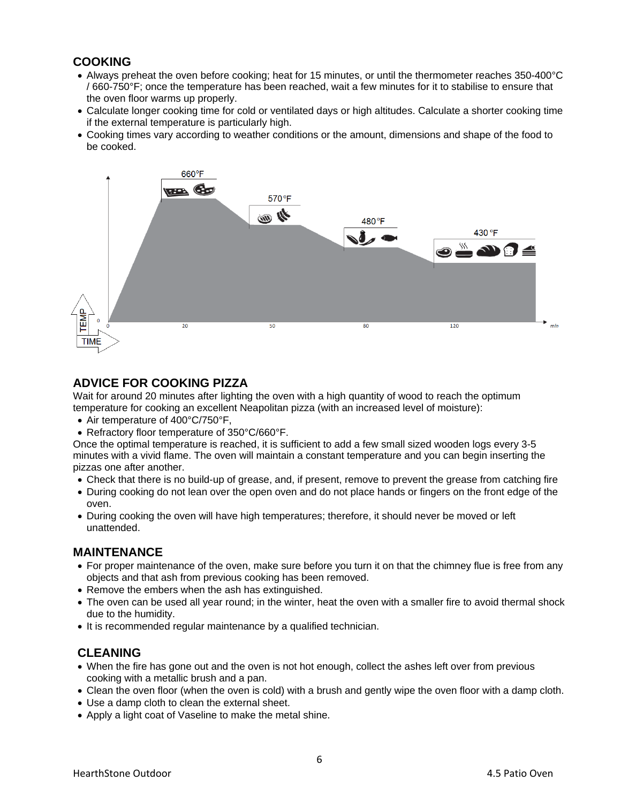#### **COOKING**

- Always preheat the oven before cooking; heat for 15 minutes, or until the thermometer reaches 350-400°C / 660-750°F; once the temperature has been reached, wait a few minutes for it to stabilise to ensure that the oven floor warms up properly.
- Calculate longer cooking time for cold or ventilated days or high altitudes. Calculate a shorter cooking time if the external temperature is particularly high.
- Cooking times vary according to weather conditions or the amount, dimensions and shape of the food to be cooked.



#### **ADVICE FOR COOKING PIZZA**

Wait for around 20 minutes after lighting the oven with a high quantity of wood to reach the optimum temperature for cooking an excellent Neapolitan pizza (with an increased level of moisture):

- Air temperature of 400°C/750°F.
- Refractory floor temperature of 350°C/660°F.

Once the optimal temperature is reached, it is sufficient to add a few small sized wooden logs every 3-5 minutes with a vivid flame. The oven will maintain a constant temperature and you can begin inserting the pizzas one after another.

- Check that there is no build-up of grease, and, if present, remove to prevent the grease from catching fire
- During cooking do not lean over the open oven and do not place hands or fingers on the front edge of the oven.
- During cooking the oven will have high temperatures; therefore, it should never be moved or left unattended.

#### **MAINTENANCE**

- For proper maintenance of the oven, make sure before you turn it on that the chimney flue is free from any objects and that ash from previous cooking has been removed.
- Remove the embers when the ash has extinguished.
- The oven can be used all year round; in the winter, heat the oven with a smaller fire to avoid thermal shock due to the humidity.
- It is recommended regular maintenance by a qualified technician.

#### **CLEANING**

- When the fire has gone out and the oven is not hot enough, collect the ashes left over from previous cooking with a metallic brush and a pan.
- Clean the oven floor (when the oven is cold) with a brush and gently wipe the oven floor with a damp cloth.
- Use a damp cloth to clean the external sheet.
- Apply a light coat of Vaseline to make the metal shine.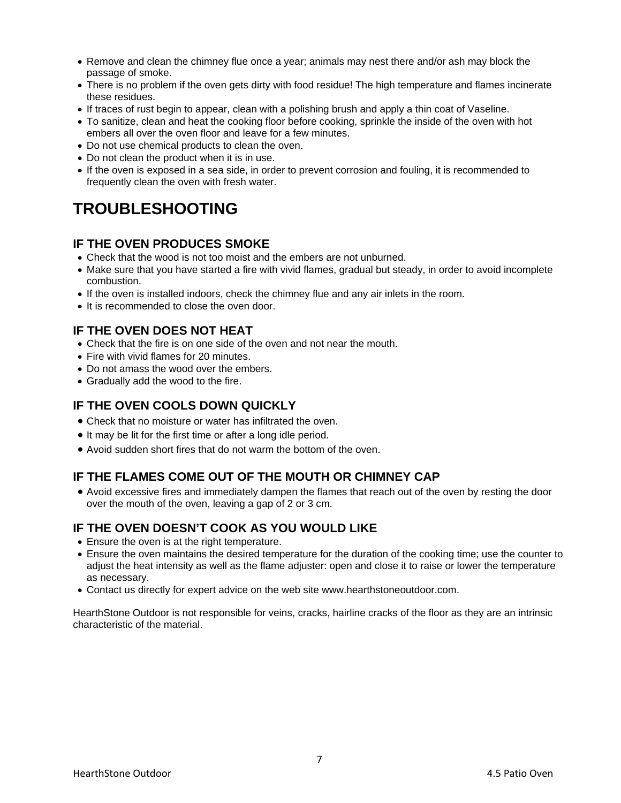- Remove and clean the chimney flue once a year; animals may nest there and/or ash may block the passage of smoke.
- There is no problem if the oven gets dirty with food residue! The high temperature and flames incinerate these residues.
- If traces of rust begin to appear, clean with a polishing brush and apply a thin coat of Vaseline.
- To sanitize, clean and heat the cooking floor before cooking, sprinkle the inside of the oven with hot embers all over the oven floor and leave for a few minutes.
- Do not use chemical products to clean the oven.
- Do not clean the product when it is in use.
- If the oven is exposed in a sea side, in order to prevent corrosion and fouling, it is recommended to frequently clean the oven with fresh water.

## **TROUBLESHOOTING**

#### **IF THE OVEN PRODUCES SMOKE**

- Check that the wood is not too moist and the embers are not unburned.
- Make sure that you have started a fire with vivid flames, gradual but steady, in order to avoid incomplete combustion.
- If the oven is installed indoors, check the chimney flue and any air inlets in the room.
- It is recommended to close the oven door.

#### **IF THE OVEN DOES NOT HEAT**

- Check that the fire is on one side of the oven and not near the mouth.
- Fire with vivid flames for 20 minutes.
- Do not amass the wood over the embers.
- Gradually add the wood to the fire.

#### **IF THE OVEN COOLS DOWN QUICKLY**

- Check that no moisture or water has infiltrated the oven.
- It may be lit for the first time or after a long idle period.
- Avoid sudden short fires that do not warm the bottom of the oven.

#### **IF THE FLAMES COME OUT OF THE MOUTH OR CHIMNEY CAP**

• Avoid excessive fires and immediately dampen the flames that reach out of the oven by resting the door over the mouth of the oven, leaving a gap of 2 or 3 cm.

#### **IF THE OVEN DOESN'T COOK AS YOU WOULD LIKE**

- Ensure the oven is at the right temperature.
- Ensure the oven maintains the desired temperature for the duration of the cooking time; use the counter to adjust the heat intensity as well as the flame adjuster: open and close it to raise or lower the temperature as necessary.
- Contact us directly for expert advice on the web site www.hearthstoneoutdoor.com.

HearthStone Outdoor is not responsible for veins, cracks, hairline cracks of the floor as they are an intrinsic characteristic of the material.